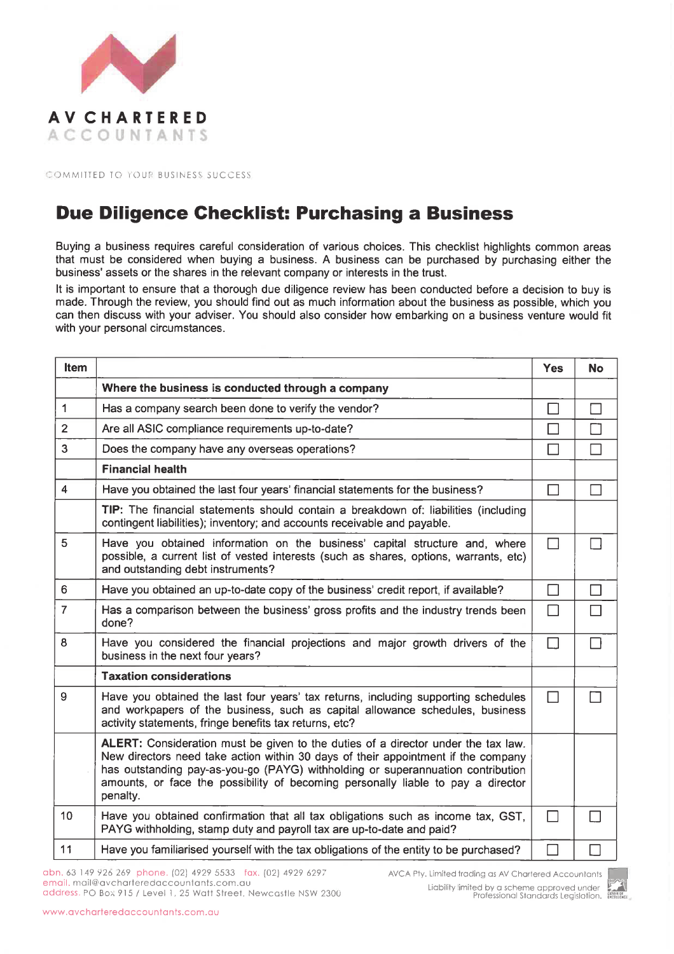

COMMITTED TO YOUR BUSINESS SUCCESS

## **Due Diligence Checklist: Purchasing a Business**

Buying a business requires careful consideration of various choices. This checklist highlights common areas that must be considered when buying a business. A business can be purchased by purchasing either the business' assets or the shares in the relevant company or interests in the trust.

It is important to ensure that a thorough due diligence review has been conducted before a decision to buy is made. Through the review, you should find out as much information about the business as possible, which you can then discuss with your adviser. You should also consider how embarking on a business venture would fit with your personal circumstances.

| Item           |                                                                                                                                                                                                                                                                                                                                                           | <b>Yes</b> | <b>No</b> |
|----------------|-----------------------------------------------------------------------------------------------------------------------------------------------------------------------------------------------------------------------------------------------------------------------------------------------------------------------------------------------------------|------------|-----------|
|                | Where the business is conducted through a company                                                                                                                                                                                                                                                                                                         |            |           |
| $\mathbf{1}$   | Has a company search been done to verify the vendor?                                                                                                                                                                                                                                                                                                      | $\Box$     |           |
| $\overline{2}$ | Are all ASIC compliance requirements up-to-date?                                                                                                                                                                                                                                                                                                          | П          |           |
| 3              | Does the company have any overseas operations?                                                                                                                                                                                                                                                                                                            | П          |           |
|                | <b>Financial health</b>                                                                                                                                                                                                                                                                                                                                   |            |           |
| 4              | Have you obtained the last four years' financial statements for the business?                                                                                                                                                                                                                                                                             | $\Box$     |           |
|                | TIP: The financial statements should contain a breakdown of: liabilities (including<br>contingent liabilities); inventory; and accounts receivable and payable.                                                                                                                                                                                           |            |           |
| 5              | Have you obtained information on the business' capital structure and, where<br>possible, a current list of vested interests (such as shares, options, warrants, etc)<br>and outstanding debt instruments?                                                                                                                                                 | □          |           |
| 6              | Have you obtained an up-to-date copy of the business' credit report, if available?                                                                                                                                                                                                                                                                        | $\Box$     | П         |
| $\overline{7}$ | Has a comparison between the business' gross profits and the industry trends been<br>done?                                                                                                                                                                                                                                                                | П          |           |
| 8              | Have you considered the financial projections and major growth drivers of the<br>business in the next four years?                                                                                                                                                                                                                                         | $\Box$     |           |
|                | <b>Taxation considerations</b>                                                                                                                                                                                                                                                                                                                            |            |           |
| 9              | Have you obtained the last four years' tax returns, including supporting schedules<br>and workpapers of the business, such as capital allowance schedules, business<br>activity statements, fringe benefits tax returns, etc?                                                                                                                             | П          |           |
|                | ALERT: Consideration must be given to the duties of a director under the tax law.<br>New directors need take action within 30 days of their appointment if the company<br>has outstanding pay-as-you-go (PAYG) withholding or superannuation contribution<br>amounts, or face the possibility of becoming personally liable to pay a director<br>penalty. |            |           |
| 10             | Have you obtained confirmation that all tax obligations such as income tax, GST,<br>PAYG withholding, stamp duty and payroll tax are up-to-date and paid?                                                                                                                                                                                                 | П          |           |
| 11             | Have you familiarised yourself with the tax obligations of the entity to be purchased?                                                                                                                                                                                                                                                                    |            |           |

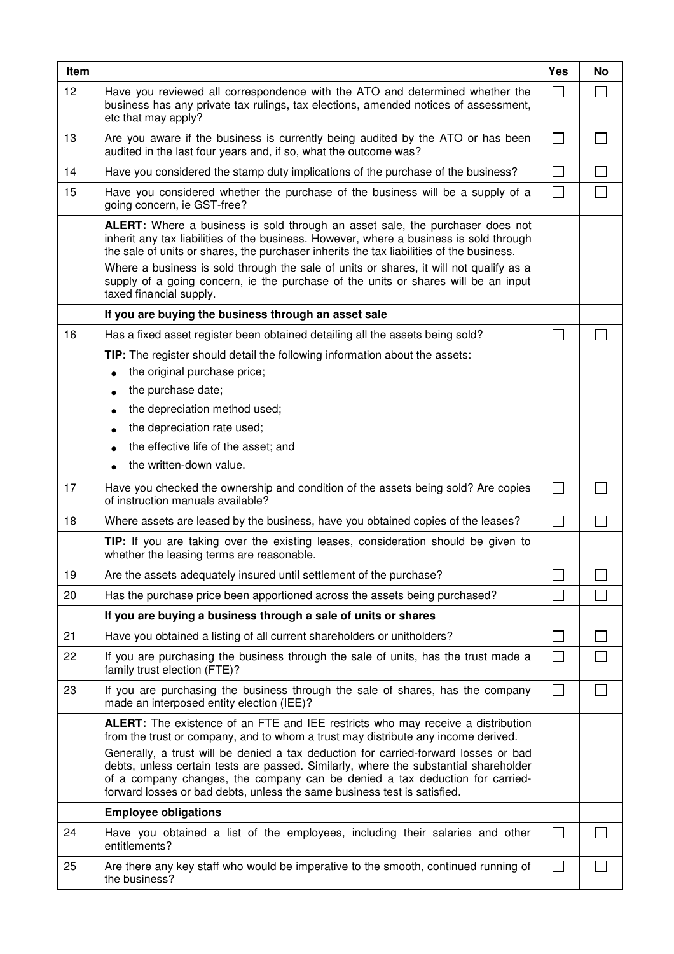| Item |                                                                                                                                                                                                                                                                                                                                         | <b>Yes</b>        | <b>No</b> |
|------|-----------------------------------------------------------------------------------------------------------------------------------------------------------------------------------------------------------------------------------------------------------------------------------------------------------------------------------------|-------------------|-----------|
| 12   | Have you reviewed all correspondence with the ATO and determined whether the<br>business has any private tax rulings, tax elections, amended notices of assessment,<br>etc that may apply?                                                                                                                                              |                   |           |
| 13   | Are you aware if the business is currently being audited by the ATO or has been<br>audited in the last four years and, if so, what the outcome was?                                                                                                                                                                                     | $\vert$ $\vert$   |           |
| 14   | Have you considered the stamp duty implications of the purchase of the business?                                                                                                                                                                                                                                                        |                   |           |
| 15   | Have you considered whether the purchase of the business will be a supply of a<br>going concern, ie GST-free?                                                                                                                                                                                                                           | $\Box$            |           |
|      | ALERT: Where a business is sold through an asset sale, the purchaser does not<br>inherit any tax liabilities of the business. However, where a business is sold through<br>the sale of units or shares, the purchaser inherits the tax liabilities of the business.                                                                     |                   |           |
|      | Where a business is sold through the sale of units or shares, it will not qualify as a<br>supply of a going concern, ie the purchase of the units or shares will be an input<br>taxed financial supply.                                                                                                                                 |                   |           |
|      | If you are buying the business through an asset sale                                                                                                                                                                                                                                                                                    |                   |           |
| 16   | Has a fixed asset register been obtained detailing all the assets being sold?                                                                                                                                                                                                                                                           |                   |           |
|      | TIP: The register should detail the following information about the assets:                                                                                                                                                                                                                                                             |                   |           |
|      | the original purchase price;<br>the purchase date;                                                                                                                                                                                                                                                                                      |                   |           |
|      | $\bullet$<br>the depreciation method used;<br>$\bullet$                                                                                                                                                                                                                                                                                 |                   |           |
|      | the depreciation rate used;<br>$\bullet$                                                                                                                                                                                                                                                                                                |                   |           |
|      | the effective life of the asset; and                                                                                                                                                                                                                                                                                                    |                   |           |
|      | the written-down value.                                                                                                                                                                                                                                                                                                                 |                   |           |
| 17   | Have you checked the ownership and condition of the assets being sold? Are copies<br>of instruction manuals available?                                                                                                                                                                                                                  |                   |           |
| 18   | Where assets are leased by the business, have you obtained copies of the leases?                                                                                                                                                                                                                                                        |                   |           |
|      | TIP: If you are taking over the existing leases, consideration should be given to<br>whether the leasing terms are reasonable.                                                                                                                                                                                                          |                   |           |
| 19   | Are the assets adequately insured until settlement of the purchase?                                                                                                                                                                                                                                                                     |                   |           |
| 20   | Has the purchase price been apportioned across the assets being purchased?                                                                                                                                                                                                                                                              |                   |           |
|      | If you are buying a business through a sale of units or shares                                                                                                                                                                                                                                                                          |                   |           |
| 21   | Have you obtained a listing of all current shareholders or unitholders?                                                                                                                                                                                                                                                                 |                   |           |
| 22   | If you are purchasing the business through the sale of units, has the trust made a<br>family trust election (FTE)?                                                                                                                                                                                                                      | $\blacksquare$    |           |
| 23   | If you are purchasing the business through the sale of shares, has the company<br>made an interposed entity election (IEE)?                                                                                                                                                                                                             |                   |           |
|      | <b>ALERT:</b> The existence of an FTE and IEE restricts who may receive a distribution<br>from the trust or company, and to whom a trust may distribute any income derived.                                                                                                                                                             |                   |           |
|      | Generally, a trust will be denied a tax deduction for carried-forward losses or bad<br>debts, unless certain tests are passed. Similarly, where the substantial shareholder<br>of a company changes, the company can be denied a tax deduction for carried-<br>forward losses or bad debts, unless the same business test is satisfied. |                   |           |
|      | <b>Employee obligations</b>                                                                                                                                                                                                                                                                                                             |                   |           |
| 24   | Have you obtained a list of the employees, including their salaries and other<br>entitlements?                                                                                                                                                                                                                                          | $\blacksquare$    |           |
| 25   | Are there any key staff who would be imperative to the smooth, continued running of<br>the business?                                                                                                                                                                                                                                    | $\vert \ \ \vert$ |           |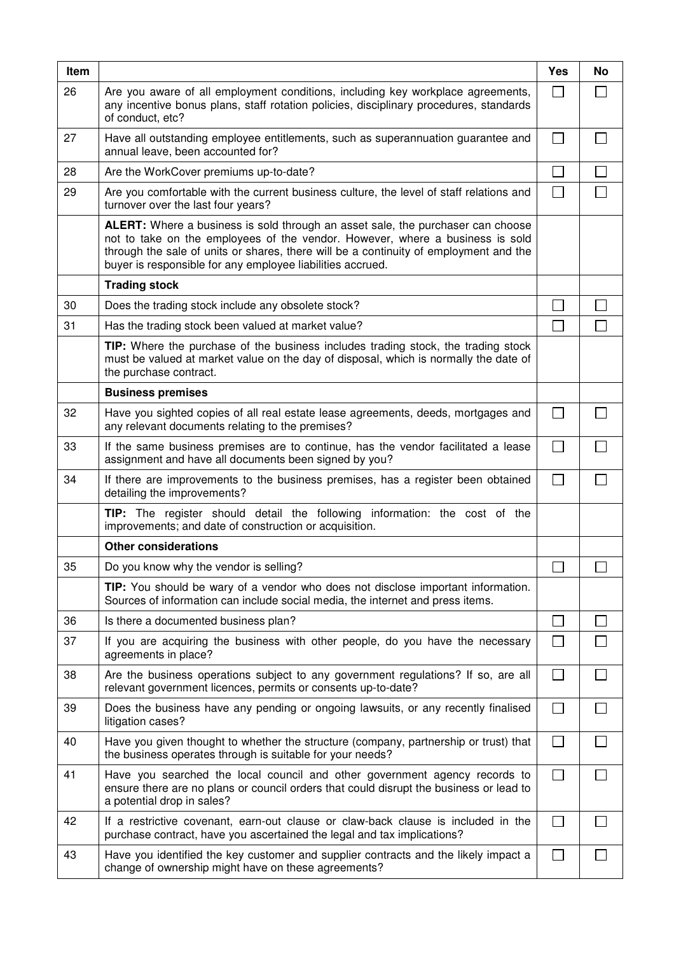| Item |                                                                                                                                                                                                                                                                                                                                | <b>Yes</b>                  | No |
|------|--------------------------------------------------------------------------------------------------------------------------------------------------------------------------------------------------------------------------------------------------------------------------------------------------------------------------------|-----------------------------|----|
| 26   | Are you aware of all employment conditions, including key workplace agreements,<br>any incentive bonus plans, staff rotation policies, disciplinary procedures, standards<br>of conduct, etc?                                                                                                                                  | $\Box$                      |    |
| 27   | Have all outstanding employee entitlements, such as superannuation guarantee and<br>annual leave, been accounted for?                                                                                                                                                                                                          | $\mathbf{I}$                |    |
| 28   | Are the WorkCover premiums up-to-date?                                                                                                                                                                                                                                                                                         |                             |    |
| 29   | Are you comfortable with the current business culture, the level of staff relations and<br>turnover over the last four years?                                                                                                                                                                                                  | $\Box$                      |    |
|      | <b>ALERT:</b> Where a business is sold through an asset sale, the purchaser can choose<br>not to take on the employees of the vendor. However, where a business is sold<br>through the sale of units or shares, there will be a continuity of employment and the<br>buyer is responsible for any employee liabilities accrued. |                             |    |
|      | <b>Trading stock</b>                                                                                                                                                                                                                                                                                                           |                             |    |
| 30   | Does the trading stock include any obsolete stock?                                                                                                                                                                                                                                                                             |                             |    |
| 31   | Has the trading stock been valued at market value?                                                                                                                                                                                                                                                                             | $\mathcal{L}_{\mathcal{A}}$ |    |
|      | TIP: Where the purchase of the business includes trading stock, the trading stock<br>must be valued at market value on the day of disposal, which is normally the date of<br>the purchase contract.                                                                                                                            |                             |    |
|      | <b>Business premises</b>                                                                                                                                                                                                                                                                                                       |                             |    |
| 32   | Have you sighted copies of all real estate lease agreements, deeds, mortgages and<br>any relevant documents relating to the premises?                                                                                                                                                                                          | $\vert$ $\vert$             |    |
| 33   | If the same business premises are to continue, has the vendor facilitated a lease<br>assignment and have all documents been signed by you?                                                                                                                                                                                     | П                           |    |
| 34   | If there are improvements to the business premises, has a register been obtained<br>detailing the improvements?                                                                                                                                                                                                                |                             |    |
|      | TIP: The register should detail the following information: the cost of the<br>improvements; and date of construction or acquisition.                                                                                                                                                                                           |                             |    |
|      | <b>Other considerations</b>                                                                                                                                                                                                                                                                                                    |                             |    |
| 35   | Do you know why the vendor is selling?                                                                                                                                                                                                                                                                                         | $\Box$                      |    |
|      | TIP: You should be wary of a vendor who does not disclose important information.<br>Sources of information can include social media, the internet and press items.                                                                                                                                                             |                             |    |
| 36   | Is there a documented business plan?                                                                                                                                                                                                                                                                                           | $\mathbf{I}$                |    |
| 37   | If you are acquiring the business with other people, do you have the necessary<br>agreements in place?                                                                                                                                                                                                                         | $\mathsf{I}$                |    |
| 38   | Are the business operations subject to any government regulations? If so, are all<br>relevant government licences, permits or consents up-to-date?                                                                                                                                                                             | $\Box$                      |    |
| 39   | Does the business have any pending or ongoing lawsuits, or any recently finalised<br>litigation cases?                                                                                                                                                                                                                         | $\Box$                      |    |
| 40   | Have you given thought to whether the structure (company, partnership or trust) that<br>the business operates through is suitable for your needs?                                                                                                                                                                              | $\Box$                      |    |
| 41   | Have you searched the local council and other government agency records to<br>ensure there are no plans or council orders that could disrupt the business or lead to<br>a potential drop in sales?                                                                                                                             | П                           |    |
| 42   | If a restrictive covenant, earn-out clause or claw-back clause is included in the<br>purchase contract, have you ascertained the legal and tax implications?                                                                                                                                                                   | $\Box$                      |    |
| 43   | Have you identified the key customer and supplier contracts and the likely impact a<br>change of ownership might have on these agreements?                                                                                                                                                                                     | П                           |    |